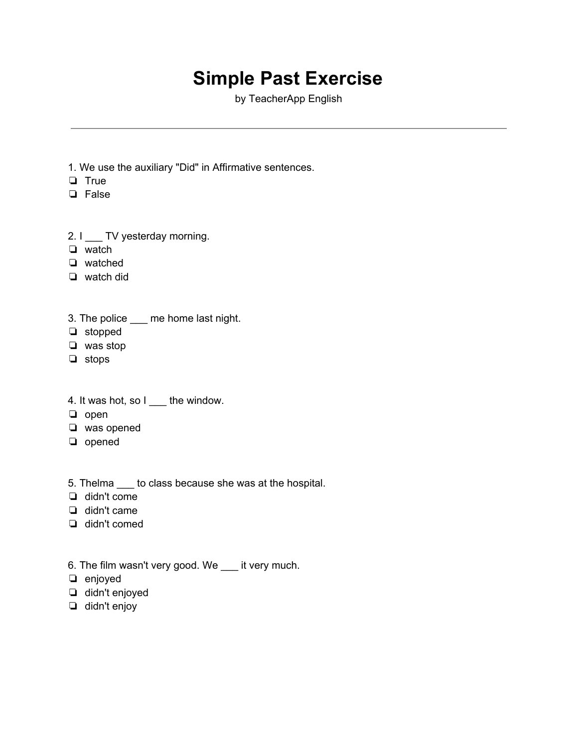## **Simple Past Exercise**

by TeacherApp English

- 1. We use the auxiliary "Did" in Affirmative sentences.
- ❏ True
- ❏ False
- 2. I \_\_\_ TV yesterday morning.
- ❏ watch
- ❏ watched
- ❏ watch did
- 3. The police \_\_\_ me home last night.
- ❏ stopped
- ❏ was stop
- ❏ stops
- 4. It was hot, so I \_\_\_ the window.
- ❏ open
- ❏ was opened
- ❏ opened
- 5. Thelma \_\_\_ to class because she was at the hospital.
- ❏ didn't come
- ❏ didn't came
- ❏ didn't comed
- 6. The film wasn't very good. We \_\_\_ it very much.
- ❏ enjoyed
- ❏ didn't enjoyed
- ❏ didn't enjoy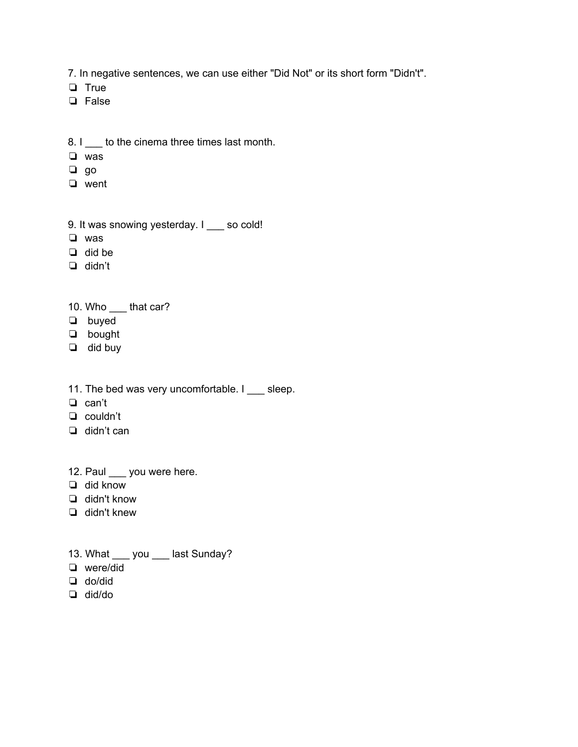7. In negative sentences, we can use either "Did Not" or its short form "Didn't".

❏ True

❏ False

- 8. I to the cinema three times last month.
- ❏ was
- ❏ go
- ❏ went
- 9. It was snowing yesterday. I \_\_\_ so cold!
- ❏ was
- ❏ did be
- ❏ didn't
- 10. Who \_\_\_ that car?
- ❏ buyed
- ❏ bought
- ❏ did buy
- 11. The bed was very uncomfortable. I \_\_\_ sleep.
- ❏ can't
- ❏ couldn't
- ❏ didn't can
- 12. Paul you were here.
- ❏ did know
- ❏ didn't know
- ❏ didn't knew
- 13. What \_\_\_ you \_\_\_ last Sunday?
- ❏ were/did
- ❏ do/did
- ❏ did/do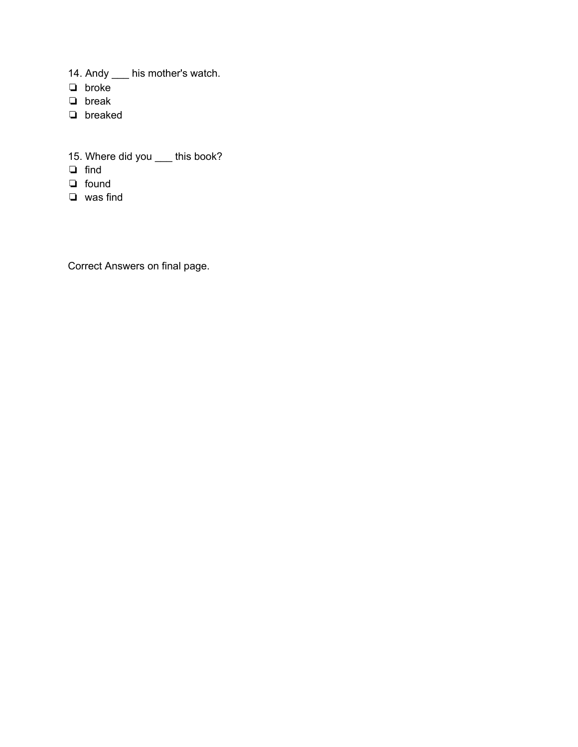- 14. Andy \_\_\_ his mother's watch.
- ❏ broke
- ❏ break
- ❏ breaked
- 15. Where did you \_\_\_ this book?
- ❏ find
- ❏ found
- ❏ was find

Correct Answers on final page.